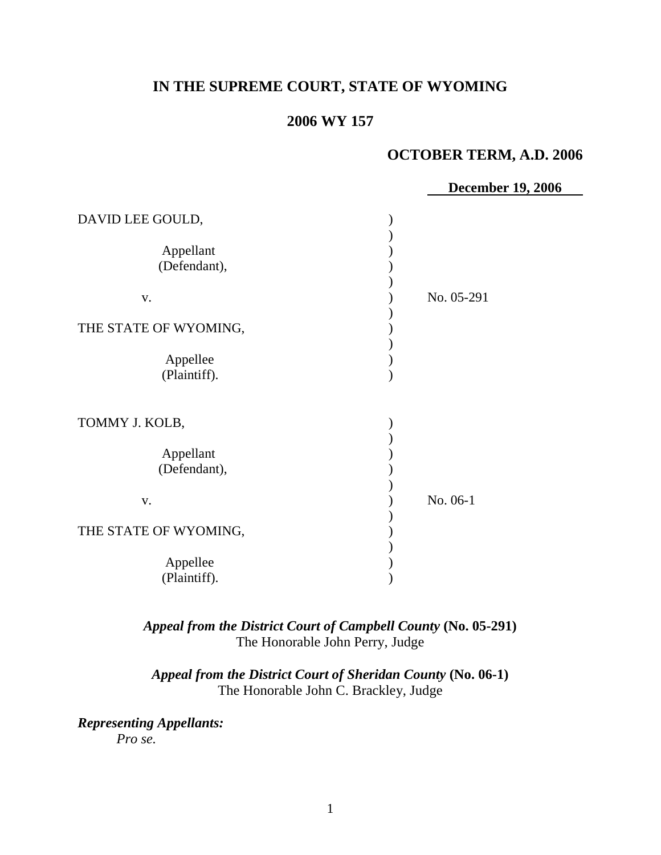# **IN THE SUPREME COURT, STATE OF WYOMING**

## **2006 WY 157**

## **OCTOBER TERM, A.D. 2006**

|                                                                                                                 | <b>December 19, 2006</b> |
|-----------------------------------------------------------------------------------------------------------------|--------------------------|
| DAVID LEE GOULD,<br>Appellant<br>(Defendant),<br>V.<br>THE STATE OF WYOMING,<br>Appellee<br>(Plaintiff).        | No. 05-291               |
| TOMMY J. KOLB,<br>Appellant<br>(Defendant),<br>${\bf V}$ .<br>THE STATE OF WYOMING,<br>Appellee<br>(Plaintiff). | No. 06-1                 |

*Appeal from the District Court of Campbell County* **(No. 05-291)** The Honorable John Perry, Judge

*Appeal from the District Court of Sheridan County* **(No. 06-1)** The Honorable John C. Brackley, Judge

*Representing Appellants: Pro se.*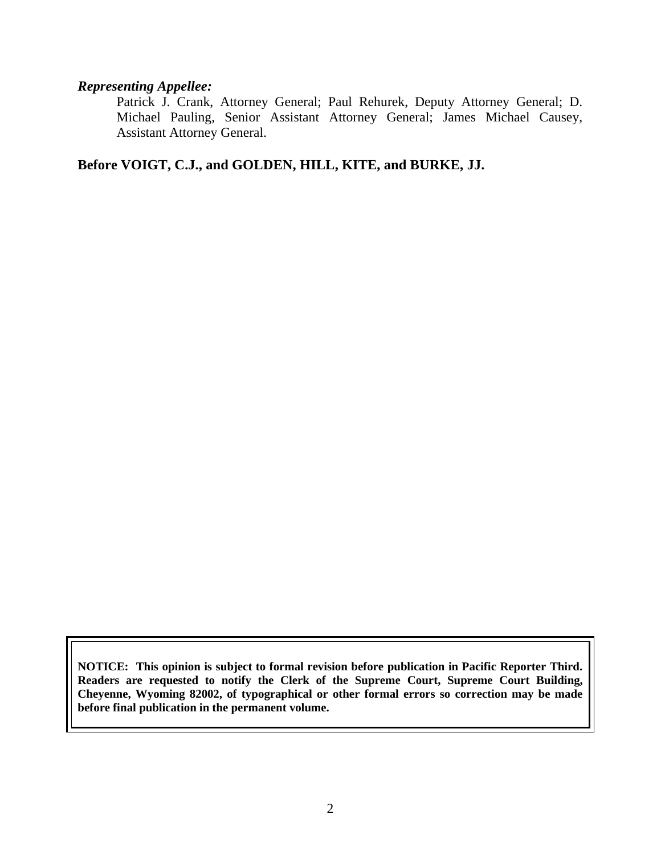#### *Representing Appellee:*

Patrick J. Crank, Attorney General; Paul Rehurek, Deputy Attorney General; D. Michael Pauling, Senior Assistant Attorney General; James Michael Causey, Assistant Attorney General.

**Before VOIGT, C.J., and GOLDEN, HILL, KITE, and BURKE, JJ.**

**NOTICE: This opinion is subject to formal revision before publication in Pacific Reporter Third. Readers are requested to notify the Clerk of the Supreme Court, Supreme Court Building, Cheyenne, Wyoming 82002, of typographical or other formal errors so correction may be made before final publication in the permanent volume.**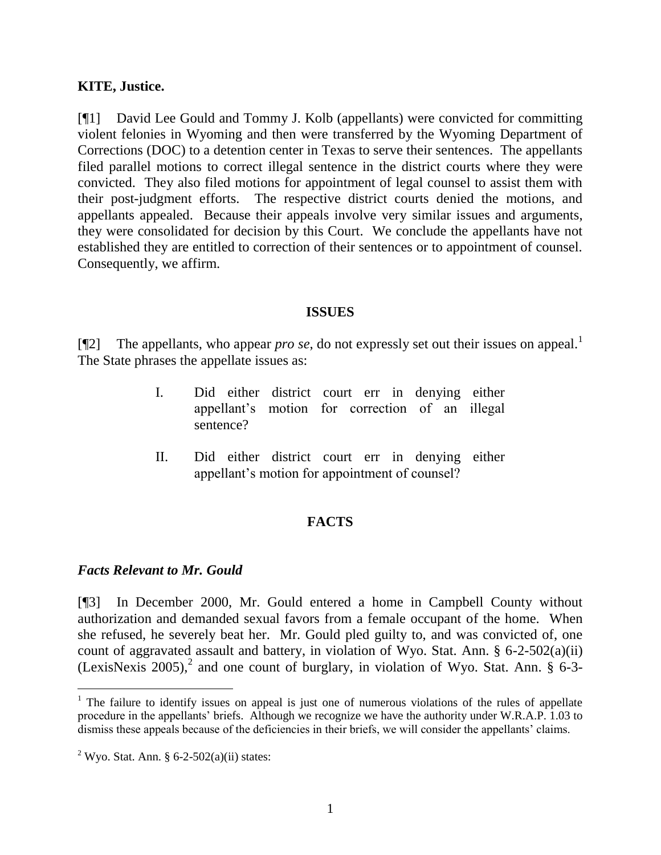## **KITE, Justice.**

[¶1] David Lee Gould and Tommy J. Kolb (appellants) were convicted for committing violent felonies in Wyoming and then were transferred by the Wyoming Department of Corrections (DOC) to a detention center in Texas to serve their sentences. The appellants filed parallel motions to correct illegal sentence in the district courts where they were convicted. They also filed motions for appointment of legal counsel to assist them with their post-judgment efforts. The respective district courts denied the motions, and appellants appealed. Because their appeals involve very similar issues and arguments, they were consolidated for decision by this Court. We conclude the appellants have not established they are entitled to correction of their sentences or to appointment of counsel. Consequently, we affirm.

#### **ISSUES**

[ $[$ [2] The appellants, who appear *pro se*, do not expressly set out their issues on appeal.<sup>1</sup> The State phrases the appellate issues as:

- I. Did either district court err in denying either appellant"s motion for correction of an illegal sentence?
- II. Did either district court err in denying either appellant"s motion for appointment of counsel?

## **FACTS**

#### *Facts Relevant to Mr. Gould*

 $\overline{a}$ 

[¶3] In December 2000, Mr. Gould entered a home in Campbell County without authorization and demanded sexual favors from a female occupant of the home. When she refused, he severely beat her. Mr. Gould pled guilty to, and was convicted of, one count of aggravated assault and battery, in violation of Wyo. Stat. Ann. § 6-2-502(a)(ii) (LexisNexis 2005),<sup>2</sup> and one count of burglary, in violation of Wyo. Stat. Ann.  $\S$  6-3-

<sup>&</sup>lt;sup>1</sup> The failure to identify issues on appeal is just one of numerous violations of the rules of appellate procedure in the appellants" briefs. Although we recognize we have the authority under W.R.A.P. 1.03 to dismiss these appeals because of the deficiencies in their briefs, we will consider the appellants' claims.

<sup>&</sup>lt;sup>2</sup> Wyo. Stat. Ann. § 6-2-502(a)(ii) states: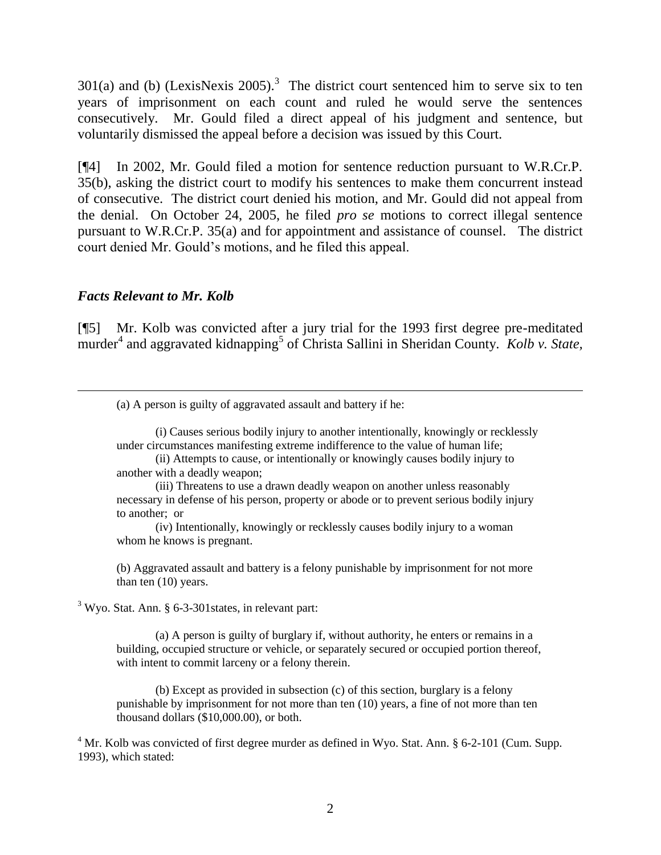301(a) and (b) (LexisNexis 2005).<sup>3</sup> The district court sentenced him to serve six to ten years of imprisonment on each count and ruled he would serve the sentences consecutively. Mr. Gould filed a direct appeal of his judgment and sentence, but voluntarily dismissed the appeal before a decision was issued by this Court.

[¶4] In 2002, Mr. Gould filed a motion for sentence reduction pursuant to W.R.Cr.P. 35(b), asking the district court to modify his sentences to make them concurrent instead of consecutive. The district court denied his motion, and Mr. Gould did not appeal from the denial. On October 24, 2005, he filed *pro se* motions to correct illegal sentence pursuant to W.R.Cr.P. 35(a) and for appointment and assistance of counsel. The district court denied Mr. Gould"s motions, and he filed this appeal.

#### *Facts Relevant to Mr. Kolb*

 $\overline{a}$ 

[¶5] Mr. Kolb was convicted after a jury trial for the 1993 first degree pre-meditated murder<sup>4</sup> and aggravated kidnapping<sup>5</sup> of Christa Sallini in Sheridan County. *Kolb v. State*,

(a) A person is guilty of aggravated assault and battery if he:

(i) Causes serious bodily injury to another intentionally, knowingly or recklessly under circumstances manifesting extreme indifference to the value of human life;

(ii) Attempts to cause, or intentionally or knowingly causes bodily injury to another with a deadly weapon;

(iii) Threatens to use a drawn deadly weapon on another unless reasonably necessary in defense of his person, property or abode or to prevent serious bodily injury to another; or

(iv) Intentionally, knowingly or recklessly causes bodily injury to a woman whom he knows is pregnant.

(b) Aggravated assault and battery is a felony punishable by imprisonment for not more than ten (10) years.

<sup>3</sup> Wyo. Stat. Ann. § 6-3-301 states, in relevant part:

(a) A person is guilty of burglary if, without authority, he enters or remains in a building, occupied structure or vehicle, or separately secured or occupied portion thereof, with intent to commit larceny or a felony therein.

(b) Except as provided in subsection (c) of this section, burglary is a felony punishable by imprisonment for not more than ten (10) years, a fine of not more than ten thousand dollars (\$10,000.00), or both.

 $4$  Mr. Kolb was convicted of first degree murder as defined in Wyo. Stat. Ann. § 6-2-101 (Cum. Supp. 1993), which stated: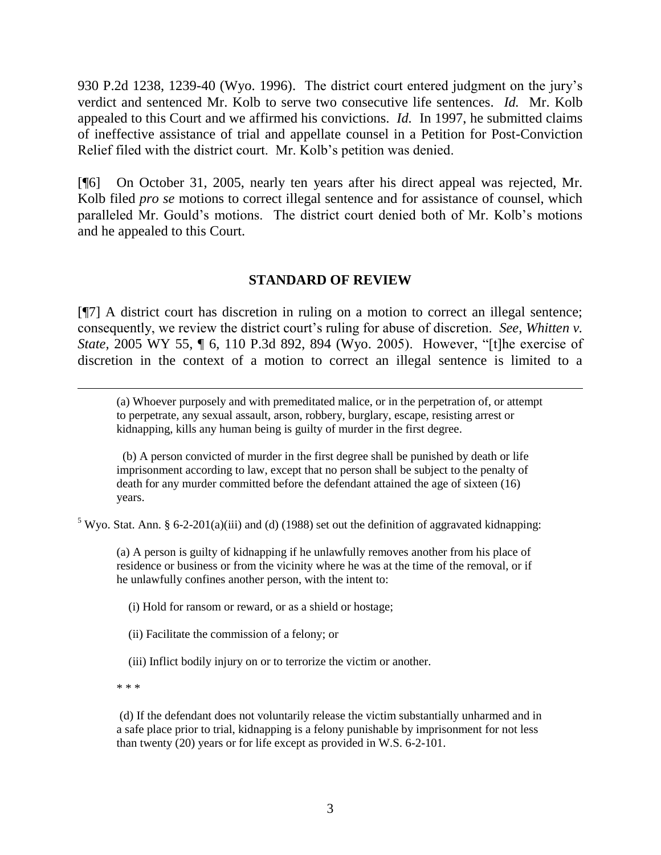930 P.2d 1238, 1239-40 (Wyo. 1996). The district court entered judgment on the jury"s verdict and sentenced Mr. Kolb to serve two consecutive life sentences. *Id.* Mr. Kolb appealed to this Court and we affirmed his convictions. *Id.* In 1997, he submitted claims of ineffective assistance of trial and appellate counsel in a Petition for Post-Conviction Relief filed with the district court. Mr. Kolb"s petition was denied.

[¶6] On October 31, 2005, nearly ten years after his direct appeal was rejected, Mr. Kolb filed *pro se* motions to correct illegal sentence and for assistance of counsel, which paralleled Mr. Gould"s motions. The district court denied both of Mr. Kolb"s motions and he appealed to this Court.

## **STANDARD OF REVIEW**

[¶7] A district court has discretion in ruling on a motion to correct an illegal sentence; consequently, we review the district court's ruling for abuse of discretion. *See, Whitten v. State,* 2005 WY 55, ¶ 6, 110 P.3d 892, 894 (Wyo. 2005). However, "[t]he exercise of discretion in the context of a motion to correct an illegal sentence is limited to a

(a) Whoever purposely and with premeditated malice, or in the perpetration of, or attempt to perpetrate, any sexual assault, arson, robbery, burglary, escape, resisting arrest or kidnapping, kills any human being is guilty of murder in the first degree.

 (b) A person convicted of murder in the first degree shall be punished by death or life imprisonment according to law, except that no person shall be subject to the penalty of death for any murder committed before the defendant attained the age of sixteen (16) years.

<sup>5</sup> Wyo. Stat. Ann. § 6-2-201(a)(iii) and (d) (1988) set out the definition of aggravated kidnapping:

(a) A person is guilty of kidnapping if he unlawfully removes another from his place of residence or business or from the vicinity where he was at the time of the removal, or if he unlawfully confines another person, with the intent to:

(i) Hold for ransom or reward, or as a shield or hostage;

(ii) Facilitate the commission of a felony; or

(iii) Inflict bodily injury on or to terrorize the victim or another.

\* \* \*

l

(d) If the defendant does not voluntarily release the victim substantially unharmed and in a safe place prior to trial, kidnapping is a felony punishable by imprisonment for not less than twenty (20) years or for life except as provided in W.S. 6-2-101.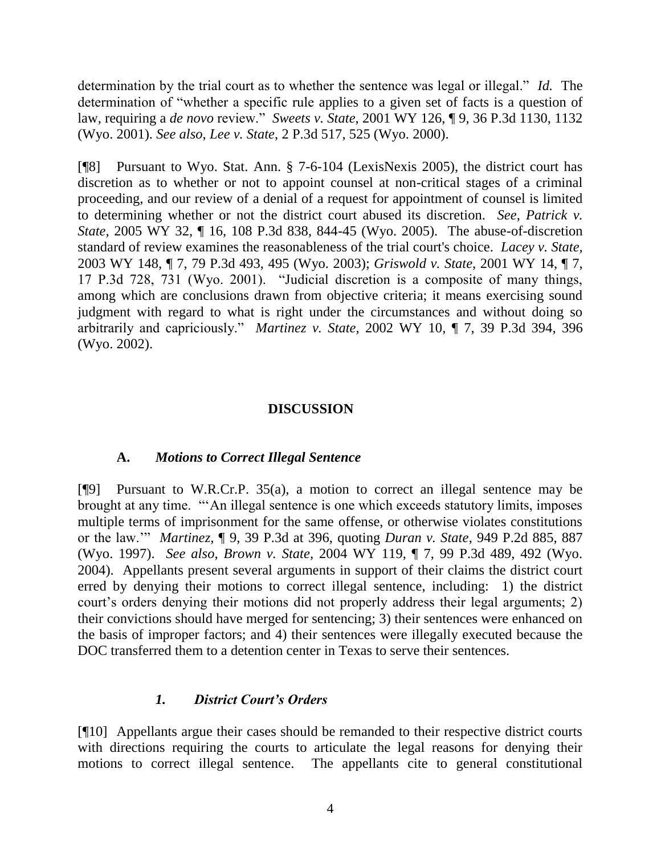determination by the trial court as to whether the sentence was legal or illegal." *Id.* The determination of "whether a specific rule applies to a given set of facts is a question of law, requiring a *de novo* review." *Sweets v. State,* 2001 WY 126, ¶ 9, 36 P.3d 1130, 1132 (Wyo. 2001). *See also*, *Lee v. State*, 2 P.3d 517, 525 (Wyo. 2000).

[¶8] Pursuant to Wyo. Stat. Ann. § 7-6-104 (LexisNexis 2005), the district court has discretion as to whether or not to appoint counsel at non-critical stages of a criminal proceeding, and our review of a denial of a request for appointment of counsel is limited to determining whether or not the district court abused its discretion. *See*, *Patrick v. State,* 2005 WY 32, ¶ 16, 108 P.3d 838, 844-45 (Wyo. 2005). The abuse-of-discretion standard of review examines the reasonableness of the trial court's choice. *Lacey v. State,*  2003 WY 148, ¶ 7, 79 P.3d 493, 495 (Wyo. 2003); *Griswold v. State*, 2001 WY 14, ¶ 7, 17 P.3d 728, 731 (Wyo. 2001). "Judicial discretion is a composite of many things, among which are conclusions drawn from objective criteria; it means exercising sound judgment with regard to what is right under the circumstances and without doing so arbitrarily and capriciously." *Martinez v. State,* 2002 WY 10, ¶ 7, 39 P.3d 394, 396 (Wyo. 2002).

## **DISCUSSION**

#### **A.** *Motions to Correct Illegal Sentence*

[¶9] Pursuant to W.R.Cr.P. 35(a), a motion to correct an illegal sentence may be brought at any time. ""An illegal sentence is one which exceeds statutory limits, imposes multiple terms of imprisonment for the same offense, or otherwise violates constitutions or the law."" *Martinez,* ¶ 9, 39 P.3d at 396, quoting *Duran v. State*, 949 P.2d 885, 887 (Wyo. 1997). *See also*, *Brown v. State,* 2004 WY 119, ¶ 7, 99 P.3d 489, 492 (Wyo. 2004). Appellants present several arguments in support of their claims the district court erred by denying their motions to correct illegal sentence, including: 1) the district court's orders denying their motions did not properly address their legal arguments; 2) their convictions should have merged for sentencing; 3) their sentences were enhanced on the basis of improper factors; and 4) their sentences were illegally executed because the DOC transferred them to a detention center in Texas to serve their sentences.

#### *1. District Court's Orders*

[¶10] Appellants argue their cases should be remanded to their respective district courts with directions requiring the courts to articulate the legal reasons for denying their motions to correct illegal sentence. The appellants cite to general constitutional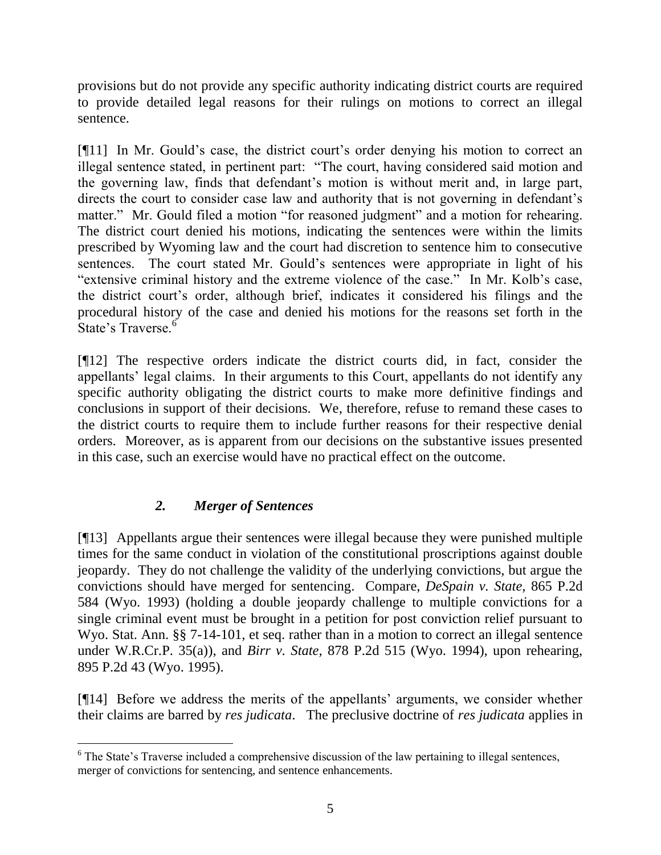provisions but do not provide any specific authority indicating district courts are required to provide detailed legal reasons for their rulings on motions to correct an illegal sentence.

[¶11] In Mr. Gould's case, the district court's order denying his motion to correct an illegal sentence stated, in pertinent part: "The court, having considered said motion and the governing law, finds that defendant"s motion is without merit and, in large part, directs the court to consider case law and authority that is not governing in defendant's matter." Mr. Gould filed a motion "for reasoned judgment" and a motion for rehearing. The district court denied his motions, indicating the sentences were within the limits prescribed by Wyoming law and the court had discretion to sentence him to consecutive sentences. The court stated Mr. Gould's sentences were appropriate in light of his "extensive criminal history and the extreme violence of the case." In Mr. Kolb"s case, the district court"s order, although brief, indicates it considered his filings and the procedural history of the case and denied his motions for the reasons set forth in the State's Traverse.<sup>6</sup>

[¶12] The respective orders indicate the district courts did, in fact, consider the appellants' legal claims. In their arguments to this Court, appellants do not identify any specific authority obligating the district courts to make more definitive findings and conclusions in support of their decisions. We, therefore, refuse to remand these cases to the district courts to require them to include further reasons for their respective denial orders. Moreover, as is apparent from our decisions on the substantive issues presented in this case, such an exercise would have no practical effect on the outcome.

# *2. Merger of Sentences*

l

[¶13] Appellants argue their sentences were illegal because they were punished multiple times for the same conduct in violation of the constitutional proscriptions against double jeopardy. They do not challenge the validity of the underlying convictions, but argue the convictions should have merged for sentencing. Compare, *DeSpain v. State,* 865 P.2d 584 (Wyo. 1993) (holding a double jeopardy challenge to multiple convictions for a single criminal event must be brought in a petition for post conviction relief pursuant to Wyo. Stat. Ann. §§ 7-14-101, et seq. rather than in a motion to correct an illegal sentence under W.R.Cr.P. 35(a)), and *Birr v. State,* 878 P.2d 515 (Wyo. 1994), upon rehearing, 895 P.2d 43 (Wyo. 1995).

[¶14] Before we address the merits of the appellants" arguments, we consider whether their claims are barred by *res judicata*. The preclusive doctrine of *res judicata* applies in

<sup>&</sup>lt;sup>6</sup> The State's Traverse included a comprehensive discussion of the law pertaining to illegal sentences, merger of convictions for sentencing, and sentence enhancements.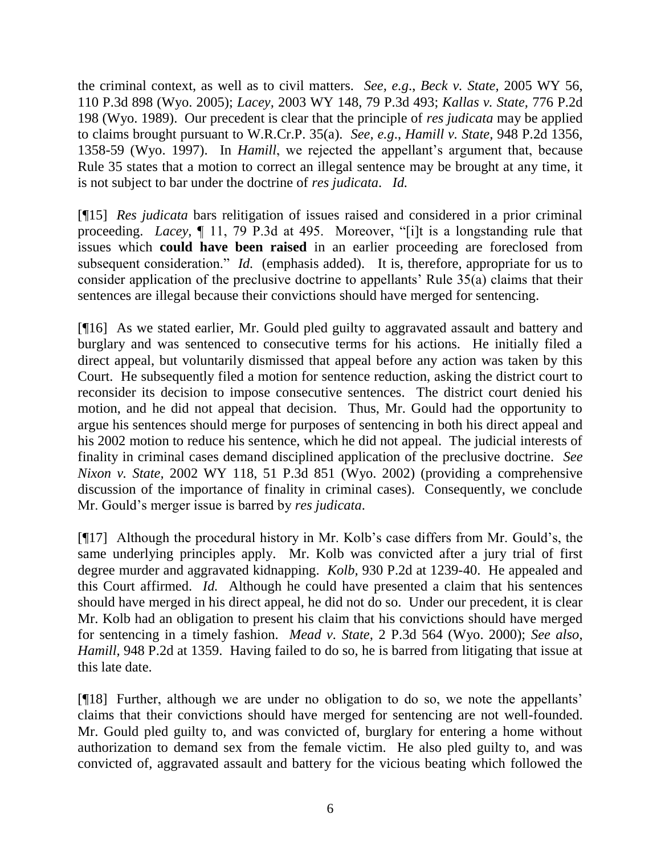the criminal context, as well as to civil matters. *See, e.g*., *Beck v. State,* 2005 WY 56, 110 P.3d 898 (Wyo. 2005); *Lacey,* 2003 WY 148, 79 P.3d 493; *Kallas v. State,* 776 P.2d 198 (Wyo. 1989). Our precedent is clear that the principle of *res judicata* may be applied to claims brought pursuant to W.R.Cr.P. 35(a). *See, e.g*., *Hamill v. State,* 948 P.2d 1356, 1358-59 (Wyo. 1997). In *Hamill*, we rejected the appellant"s argument that, because Rule 35 states that a motion to correct an illegal sentence may be brought at any time, it is not subject to bar under the doctrine of *res judicata*. *Id.* 

[¶15] *Res judicata* bars relitigation of issues raised and considered in a prior criminal proceeding. *Lacey,* ¶ 11, 79 P.3d at 495. Moreover, "[i]t is a longstanding rule that issues which **could have been raised** in an earlier proceeding are foreclosed from subsequent consideration." *Id.* (emphasis added). It is, therefore, appropriate for us to consider application of the preclusive doctrine to appellants' Rule 35(a) claims that their sentences are illegal because their convictions should have merged for sentencing.

[¶16] As we stated earlier, Mr. Gould pled guilty to aggravated assault and battery and burglary and was sentenced to consecutive terms for his actions. He initially filed a direct appeal, but voluntarily dismissed that appeal before any action was taken by this Court. He subsequently filed a motion for sentence reduction, asking the district court to reconsider its decision to impose consecutive sentences. The district court denied his motion, and he did not appeal that decision. Thus, Mr. Gould had the opportunity to argue his sentences should merge for purposes of sentencing in both his direct appeal and his 2002 motion to reduce his sentence, which he did not appeal. The judicial interests of finality in criminal cases demand disciplined application of the preclusive doctrine. *See Nixon v. State,* 2002 WY 118, 51 P.3d 851 (Wyo. 2002) (providing a comprehensive discussion of the importance of finality in criminal cases). Consequently, we conclude Mr. Gould"s merger issue is barred by *res judicata*.

[¶17] Although the procedural history in Mr. Kolb"s case differs from Mr. Gould"s, the same underlying principles apply. Mr. Kolb was convicted after a jury trial of first degree murder and aggravated kidnapping. *Kolb,* 930 P.2d at 1239-40. He appealed and this Court affirmed. *Id.* Although he could have presented a claim that his sentences should have merged in his direct appeal, he did not do so. Under our precedent, it is clear Mr. Kolb had an obligation to present his claim that his convictions should have merged for sentencing in a timely fashion. *Mead v. State,* 2 P.3d 564 (Wyo. 2000); *See also*, *Hamill,* 948 P.2d at 1359. Having failed to do so, he is barred from litigating that issue at this late date.

[¶18] Further, although we are under no obligation to do so, we note the appellants" claims that their convictions should have merged for sentencing are not well-founded. Mr. Gould pled guilty to, and was convicted of, burglary for entering a home without authorization to demand sex from the female victim. He also pled guilty to, and was convicted of, aggravated assault and battery for the vicious beating which followed the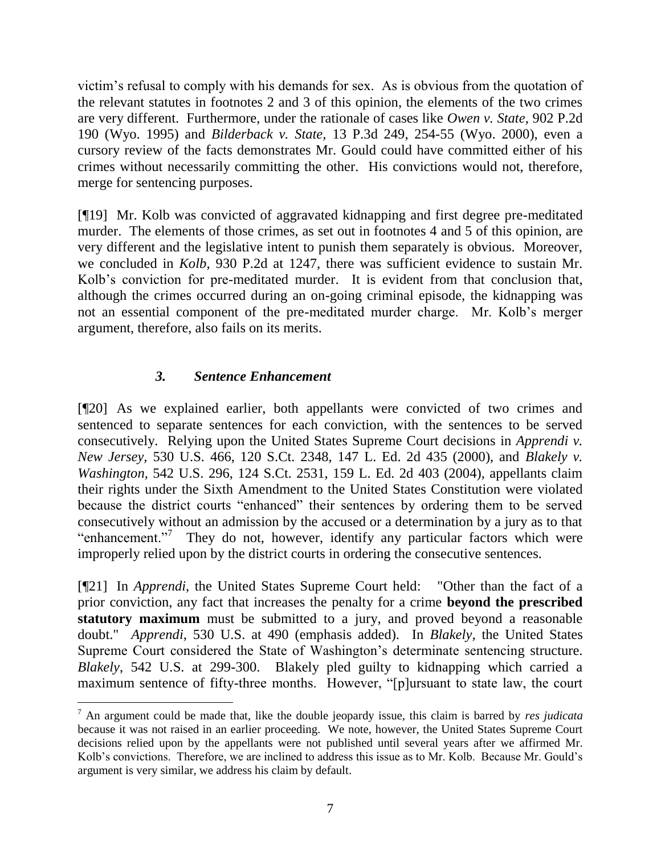victim"s refusal to comply with his demands for sex. As is obvious from the quotation of the relevant statutes in footnotes 2 and 3 of this opinion, the elements of the two crimes are very different. Furthermore, under the rationale of cases like *Owen v. State,* 902 P.2d 190 (Wyo. 1995) and *Bilderback v. State,* 13 P.3d 249, 254-55 (Wyo. 2000), even a cursory review of the facts demonstrates Mr. Gould could have committed either of his crimes without necessarily committing the other. His convictions would not, therefore, merge for sentencing purposes.

[¶19] Mr. Kolb was convicted of aggravated kidnapping and first degree pre-meditated murder. The elements of those crimes, as set out in footnotes 4 and 5 of this opinion, are very different and the legislative intent to punish them separately is obvious. Moreover, we concluded in *Kolb,* 930 P.2d at 1247, there was sufficient evidence to sustain Mr. Kolb"s conviction for pre-meditated murder. It is evident from that conclusion that, although the crimes occurred during an on-going criminal episode, the kidnapping was not an essential component of the pre-meditated murder charge. Mr. Kolb"s merger argument, therefore, also fails on its merits.

## *3. Sentence Enhancement*

[¶20] As we explained earlier, both appellants were convicted of two crimes and sentenced to separate sentences for each conviction, with the sentences to be served consecutively. Relying upon the United States Supreme Court decisions in *Apprendi v. New Jersey,* 530 U.S. 466, 120 S.Ct. 2348, 147 L. Ed. 2d 435 (2000), and *Blakely v. Washington,* 542 U.S. 296, 124 S.Ct. 2531, 159 L. Ed. 2d 403 (2004), appellants claim their rights under the Sixth Amendment to the United States Constitution were violated because the district courts "enhanced" their sentences by ordering them to be served consecutively without an admission by the accused or a determination by a jury as to that "enhancement."<sup>7</sup> They do not, however, identify any particular factors which were improperly relied upon by the district courts in ordering the consecutive sentences.

[¶21] In *Apprendi*, the United States Supreme Court held: "Other than the fact of a prior conviction, any fact that increases the penalty for a crime **beyond the prescribed statutory maximum** must be submitted to a jury, and proved beyond a reasonable doubt." *Apprendi*, 530 U.S. at 490 (emphasis added). In *Blakely,* the United States Supreme Court considered the State of Washington"s determinate sentencing structure. *Blakely*, 542 U.S. at 299-300. Blakely pled guilty to kidnapping which carried a maximum sentence of fifty-three months. However, "[p]ursuant to state law, the court

<sup>7</sup> An argument could be made that, like the double jeopardy issue, this claim is barred by *res judicata* because it was not raised in an earlier proceeding. We note, however, the United States Supreme Court decisions relied upon by the appellants were not published until several years after we affirmed Mr. Kolb's convictions. Therefore, we are inclined to address this issue as to Mr. Kolb. Because Mr. Gould's argument is very similar, we address his claim by default.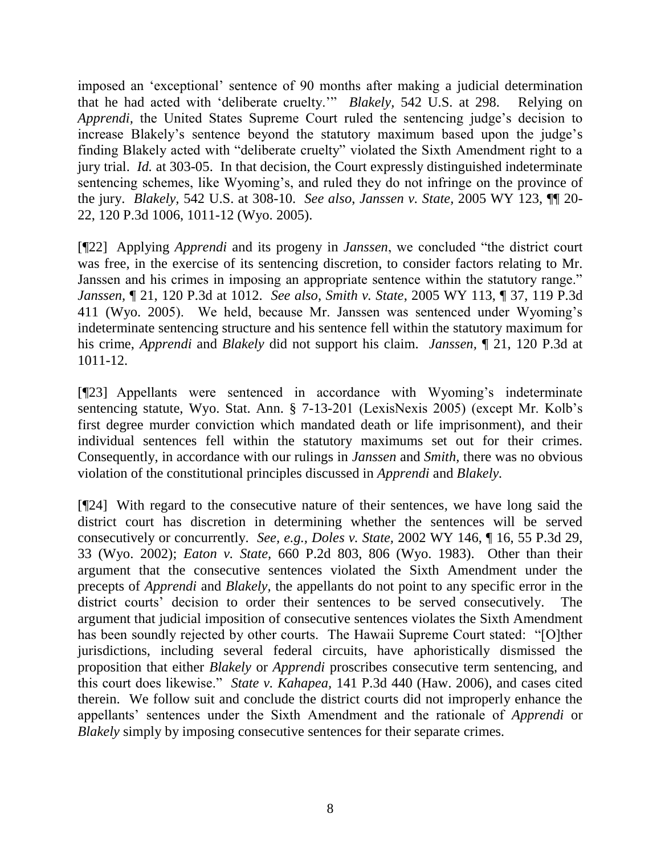imposed an "exceptional" sentence of 90 months after making a judicial determination that he had acted with "deliberate cruelty."" *Blakely,* 542 U.S. at 298. Relying on *Apprendi*, the United States Supreme Court ruled the sentencing judge's decision to increase Blakely's sentence beyond the statutory maximum based upon the judge's finding Blakely acted with "deliberate cruelty" violated the Sixth Amendment right to a jury trial. *Id.* at 303-05. In that decision, the Court expressly distinguished indeterminate sentencing schemes, like Wyoming"s, and ruled they do not infringe on the province of the jury. *Blakely,* 542 U.S. at 308-10. *See also*, *Janssen v. State,* 2005 WY 123, ¶¶ 20- 22, 120 P.3d 1006, 1011-12 (Wyo. 2005).

[¶22] Applying *Apprendi* and its progeny in *Janssen*, we concluded "the district court was free, in the exercise of its sentencing discretion, to consider factors relating to Mr. Janssen and his crimes in imposing an appropriate sentence within the statutory range." *Janssen,* ¶ 21, 120 P.3d at 1012. *See also*, *Smith v. State*, 2005 WY 113, ¶ 37, 119 P.3d 411 (Wyo. 2005). We held, because Mr. Janssen was sentenced under Wyoming"s indeterminate sentencing structure and his sentence fell within the statutory maximum for his crime, *Apprendi* and *Blakely* did not support his claim. *Janssen,* ¶ 21, 120 P.3d at 1011-12.

[¶23] Appellants were sentenced in accordance with Wyoming"s indeterminate sentencing statute, Wyo. Stat. Ann. § 7-13-201 (LexisNexis 2005) (except Mr. Kolb"s first degree murder conviction which mandated death or life imprisonment), and their individual sentences fell within the statutory maximums set out for their crimes. Consequently, in accordance with our rulings in *Janssen* and *Smith,* there was no obvious violation of the constitutional principles discussed in *Apprendi* and *Blakely.* 

[¶24] With regard to the consecutive nature of their sentences, we have long said the district court has discretion in determining whether the sentences will be served consecutively or concurrently. *See, e.g., Doles v. State,* 2002 WY 146, ¶ 16, 55 P.3d 29, 33 (Wyo. 2002); *Eaton v. State,* 660 P.2d 803, 806 (Wyo. 1983). Other than their argument that the consecutive sentences violated the Sixth Amendment under the precepts of *Apprendi* and *Blakely,* the appellants do not point to any specific error in the district courts' decision to order their sentences to be served consecutively. The argument that judicial imposition of consecutive sentences violates the Sixth Amendment has been soundly rejected by other courts. The Hawaii Supreme Court stated: "[O]ther jurisdictions, including several federal circuits, have aphoristically dismissed the proposition that either *Blakely* or *Apprendi* proscribes consecutive term sentencing, and this court does likewise." *State v. Kahapea,* 141 P.3d 440 (Haw. 2006), and cases cited therein. We follow suit and conclude the district courts did not improperly enhance the appellants" sentences under the Sixth Amendment and the rationale of *Apprendi* or *Blakely* simply by imposing consecutive sentences for their separate crimes*.*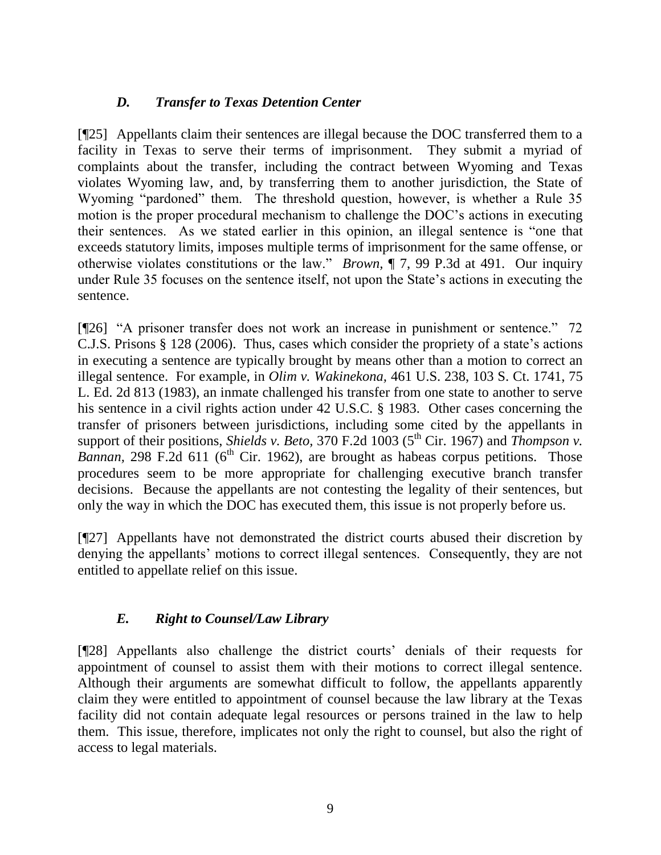## *D. Transfer to Texas Detention Center*

[¶25] Appellants claim their sentences are illegal because the DOC transferred them to a facility in Texas to serve their terms of imprisonment. They submit a myriad of complaints about the transfer, including the contract between Wyoming and Texas violates Wyoming law, and, by transferring them to another jurisdiction, the State of Wyoming "pardoned" them. The threshold question, however, is whether a Rule 35 motion is the proper procedural mechanism to challenge the DOC"s actions in executing their sentences. As we stated earlier in this opinion, an illegal sentence is "one that exceeds statutory limits, imposes multiple terms of imprisonment for the same offense, or otherwise violates constitutions or the law." *Brown,* ¶ 7, 99 P.3d at 491. Our inquiry under Rule 35 focuses on the sentence itself, not upon the State's actions in executing the sentence.

[¶26] "A prisoner transfer does not work an increase in punishment or sentence." 72 C.J.S. Prisons § 128 (2006). Thus, cases which consider the propriety of a state"s actions in executing a sentence are typically brought by means other than a motion to correct an illegal sentence. For example, in *Olim v. Wakinekona,* 461 U.S. 238, 103 S. Ct. 1741, 75 L. Ed. 2d 813 (1983), an inmate challenged his transfer from one state to another to serve his sentence in a civil rights action under 42 U.S.C. § 1983. Other cases concerning the transfer of prisoners between jurisdictions, including some cited by the appellants in support of their positions, *Shields v. Beto,* 370 F.2d 1003 ( $5<sup>th</sup>$  Cir. 1967) and *Thompson v. Bannan*, 298 F.2d 611 ( $6<sup>th</sup>$  Cir. 1962), are brought as habeas corpus petitions. Those procedures seem to be more appropriate for challenging executive branch transfer decisions. Because the appellants are not contesting the legality of their sentences, but only the way in which the DOC has executed them, this issue is not properly before us.

[¶27] Appellants have not demonstrated the district courts abused their discretion by denying the appellants' motions to correct illegal sentences. Consequently, they are not entitled to appellate relief on this issue.

## *E. Right to Counsel/Law Library*

[¶28] Appellants also challenge the district courts" denials of their requests for appointment of counsel to assist them with their motions to correct illegal sentence. Although their arguments are somewhat difficult to follow, the appellants apparently claim they were entitled to appointment of counsel because the law library at the Texas facility did not contain adequate legal resources or persons trained in the law to help them. This issue, therefore, implicates not only the right to counsel, but also the right of access to legal materials.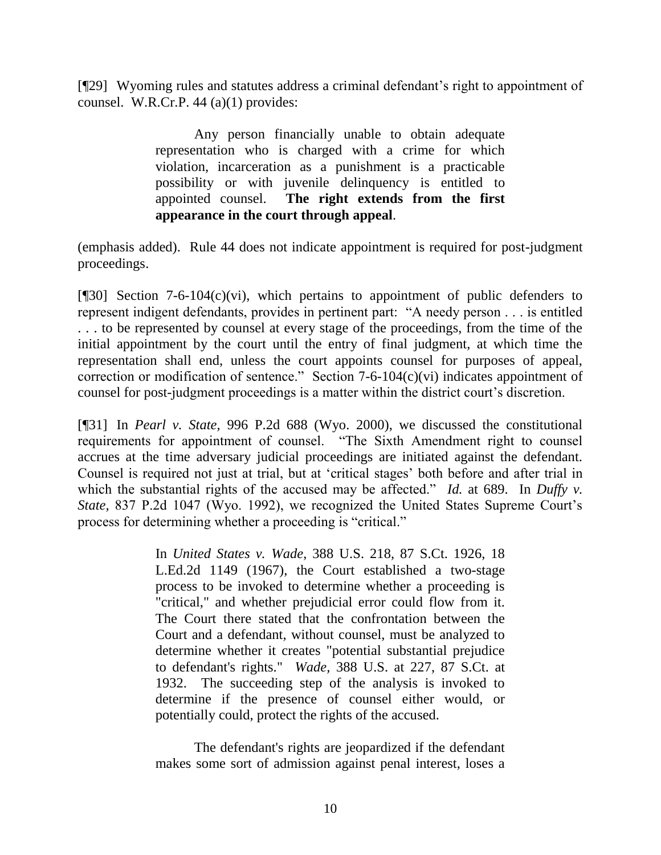[¶29] Wyoming rules and statutes address a criminal defendant"s right to appointment of counsel. W.R.Cr.P. 44 (a)(1) provides:

> Any person financially unable to obtain adequate representation who is charged with a crime for which violation, incarceration as a punishment is a practicable possibility or with juvenile delinquency is entitled to appointed counsel. **The right extends from the first appearance in the court through appeal**.

(emphasis added). Rule 44 does not indicate appointment is required for post-judgment proceedings.

[ $[$ [30] Section 7-6-104(c)(vi), which pertains to appointment of public defenders to represent indigent defendants, provides in pertinent part: "A needy person . . . is entitled . . . to be represented by counsel at every stage of the proceedings, from the time of the initial appointment by the court until the entry of final judgment, at which time the representation shall end, unless the court appoints counsel for purposes of appeal, correction or modification of sentence." Section 7-6-104(c)(vi) indicates appointment of counsel for post-judgment proceedings is a matter within the district court's discretion.

[¶31] In *Pearl v. State,* 996 P.2d 688 (Wyo. 2000), we discussed the constitutional requirements for appointment of counsel. "The Sixth Amendment right to counsel accrues at the time adversary judicial proceedings are initiated against the defendant. Counsel is required not just at trial, but at "critical stages" both before and after trial in which the substantial rights of the accused may be affected." *Id.* at 689. In *Duffy v. State,* 837 P.2d 1047 (Wyo. 1992), we recognized the United States Supreme Court"s process for determining whether a proceeding is "critical."

> In *United States v. Wade*, 388 U.S. 218, 87 S.Ct. 1926, 18 L.Ed.2d 1149 (1967), the Court established a two-stage process to be invoked to determine whether a proceeding is "critical," and whether prejudicial error could flow from it. The Court there stated that the confrontation between the Court and a defendant, without counsel, must be analyzed to determine whether it creates "potential substantial prejudice to defendant's rights." *Wade,* 388 U.S. at 227, 87 S.Ct. at 1932. The succeeding step of the analysis is invoked to determine if the presence of counsel either would, or potentially could, protect the rights of the accused.

The defendant's rights are jeopardized if the defendant makes some sort of admission against penal interest, loses a